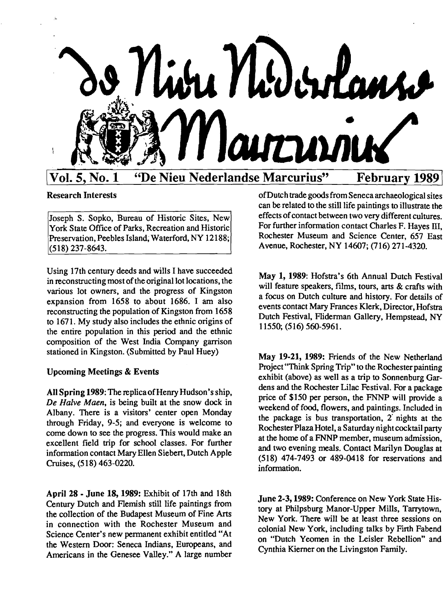

# Research Interests

Joseph S. Sopko, Bureau of Historic Sites, New York State Office of Parks, Recreation and Historic Preservation, Peebles Island; Waterford, NY 12188; (518) 237-8643.

Using 17th century deeds and wills I have succeeded in reconstructing most of the original lot locations, the various lot owners, and the progress of Kingston expansion from 1658 to about 1686. I am also reconstructing the population of Kingston from 1658 to 1671. My study also includes the ethnic origins of the entire population in this period and the ethnic composition of the West India Company garrison stationed in Kingston. (Submitted by Paul Huey)

# Upcoming Meetings & Events

AllSpring 1989:The replica of Henry Hudson's ship, *De Halve Maen,* is being built at the snow dock in Albany. There is a visitors' center open Monday through Friday, 9-5; and everyone is welcome to come down to see the progress. This would make an excellent field trip for school classes. For further information contact Mary Ellen Siebert, Dutch Apple Cruises, (518) 463-0220.

April 28 • June 18, 1989: Exhibit of 17th and 18th Century Dutch and Flemish still life paintings from the collection of the Budapest Museum of Fine Arts in connection with the Rochester Museum and Science Center's new permanent exhibit entitled "At the Western Door: Seneca Indians, Europeans, and Americans in the Genesee Valley." A large number ofDuteh trade goods from Seneca archaeological sites can be related to the still life paintings to illustrate the effects of contact between two very different cultures. For further information contact Charles F. Hayes III, Rochester Museum and Science Center, 657 East Avenue, Rochester, NY 14607; (716) 271-4320.

May 1, 1989: Hofstra's 6th Annual Dutch Festival will feature speakers, films, tours, arts & crafts with a focus on Dutch culture and history. For details of events contact Mary Frances Klerk, Director, Hofstra Dutch Festival, Fliderman Gallery, Hempstead, NY 11550; (516) 560-5961.

May 19·21, 1989: Friends of the New Netherland Project "Think Spring Trip" to the Rochester painting exhibit (above) as well as a trip to Sonnenburg Gardens and the Rochester Lilac Festival. For a package price of \$150 per person, the FNNP will provide a weekend of food, flowers, and paintings. Included in the package is bus transportation, 2' nights at the Rochester Plaza Hotel, a Saturday night cocktail party at the home of a FNNP member, museum admission, and two evening meals. Contact Marilyn Douglas at (518) 474-7493 or 489-0418 for reservations and information.

June 2-3, 1989: Conference on New York State History at Philpsburg Manor-Upper Mills, Tarrytown, New York. There will be at least three sessions on colonial New York, including talks by Firth Fabend on "Dutch Yeomen in the Leisler Rebellion" and Cynthia Kierner on the Livingston Family.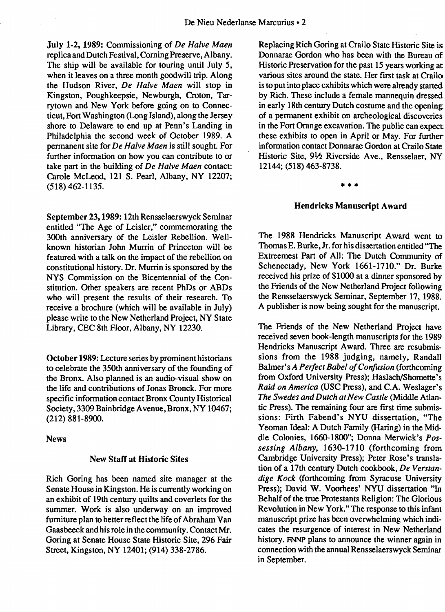July 1.2, 1989: Commissioning of *De Halve Maen*  replica and Dutch Festival, Corning Preserve, Albany. The ship will be available for touring until July 5, when it leaves on a three month goodwill trip. Along the Hudson River, *De Halve Maen* will stop in Kingston, Poughkeepsie, Newburgh, Croton, Tarrytown and New York before going on to Connecticut, Fort Washington (Long Island), along the Jersey shore to Delaware to end up at Penn's Landing in Philadelphia the second week of October 1989. A permanent site for *De Halve Maen* is still sought. For further information on how you can contribute to or take part in the building of *De Halve Maen* contact: Carole McLeod, 121 S. Pearl, Albany, NY 12207; (518) 462-1135.

September 23, 1989: 12th Rensselaerswyck Seminar entitled "The Age of Leisler," commemorating the 300th anniversary of the Leisler Rebellion. Wellknown historian John Murrin of Princeton will be featured with a talk on the impact of the rebellion on constitutional history. Dr. Murrin is sponsored by the NYS Commission on the Bicentennial of the Constitution. Other speakers are recent PhDs or ABDs who will present the results of their research. To receive a brochure (which will be available in July) please write to the New Netherland Project, NY State Library, CEC 8th Floor, Albany, NY 12230.

October 1989: Lecture series by prominent historians to celebrate the 350th anniversary of the founding of the Bronx. Also planned is an audio-visual show on the life and contributions of Jonas Bronck. For more specific information contact Bronx County Historical Society, 3309 Bainbridge Avenue, Bronx, NY 10467; (212) 881-8900.

#### News

#### New Staff at Historic Sites

Rich Goring has been named site manager at the Senate House in Kingston. He is currently working on an exhibit of 19th century quilts and coverlets for the summer. Work is also underway on an improved furniture plan to better reflect the life of Abraham Van Gaasbeeck and his role in the community. ContactMr. Goring at Senate House State Historic Site, 296 Fair Street, Kingston, NY 12401; (914) 338-2786.

Replacing Rich Goring at Crailo State Historic Site is Donnarae Gordon who has been with the Bureau of Historic Preservation for the past 15 years working at various sites around the state. Her first task at Crailo is to put into place exhibits which were already started by Rich. These include a female mannequin dressed in early 18th century Dutch costume and the opening: of a permanent exhibit on archeological discoveries in the Fort Orange excavation. The public can expect these exhibits to open in April or May. For further information contact Donnarae Gordon at Crailo State Historic Site, 91⁄2 Riverside Ave., Rensselaer, NY 12144; (518) 463-8738.

#### \*\*\*

#### Hendricks Manuscript Award

The 1988 Hendricks Manuscript Award went to Thomas E. Burke, Jr. for his dissertation entitled "The Extreemest Part of All: The Dutch Community of Schenectady, New York 1661-1710." Dr. Burke received his prize of \$1000 at a dinner sponsored by the Friends of the New Netherland Project following the Rensselaerswyck Seminar, September 17, 1988. A publisher is now being sought for the manuscript.

The Friends of the New Netherland Project have received seven book-length manuscripts for the 1989 Hendricks Manuscript Award. Three are resubmissions from the 1988 judging, namely, Randall Balmer's *A Perfect Babel of Confusion* (forthcoming from Oxford University Press); Haslach/Shomette's *Raid on America* (USC Press), and C.A. Weslager's *The Swedes and Dutch at New Castle* (Middle Atlantic Press). The remaining four are first time submissions: Firth Fabend's NYU dissertation, "The Yeoman Ideal: A Dutch Family (Haring) in the Middle Colonies, 1660-1800"; Donna Merwick's *Possessing Albany,* 1630-1710 (forthcoming from Cambridge University Press); Peter Rose's translation of a 17th century Dutch cookbook, *De Yerstandige Kock* (forthcoming from Syracuse University Press); David W. Voorhees' NYU dissertation "In Behalf of the true Protestants Religion: The Glorious Revolution in New York." The response to this infant manuscript prize has been overwhelming which indicates the resurgence of interest in New Netherland history. FNNP plans to announce the winner again in connection with the annual Rensselaerswyck Seminar in September.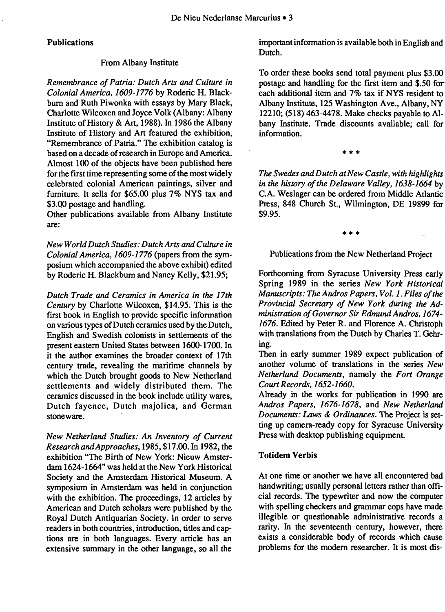#### Publications

#### From Albany Institute

*Remembrance of Patria: Dutch Arts and Culture in Colonial America, 1609-1776* by Roderic H. Blackburn and Ruth Piwonka with essays by Mary Black, Charlotte Wilcoxen and Joyce Yolk (Albany: Albany Institute of History & Art, 1988). In 1986 the Albany Institute of History and Art featured the exhibition, "Remembrance of Patria." The exhibition catalog is based on a decade of research in Europe and America. Almost 100 of the objects have been published here for the first time representing some of the most widely celebrated colonial American paintings, silver and furniture. It sells for \$65.00 plus 7% NYS tax and \$3.00 postage and handling.

Other publications available from Albany Institute are:

*New World Dutch Studies: Dutch Arts and Culture in Colonial America, 1609-1776* (papers from the symposium which accompanied the above exhibit) edited by Roderic H. Blackburn and Nancy Kelly, \$21.95;

*Dutch Trade and Ceramics in America in the 17th Century* by Charlotte Wilcoxen, \$14.95. This is the first book in English to provide specific information on various types of Dutch ceramics used by the Dutch, English and Swedish colonists in settlements of the present eastern United States between 1600-1700. In it the author examines the broader context of 17th century trade, revealing the maritime channels by which the Dutch brought goods to New Netherland settlements and widely distributed them. The ceramics discussed in the book include utility wares, Dutch fayence, Dutch majolica, and German stoneware.

*New Netherland Studies: An Inventory of Current Research and Approaches,* 1985, \$17.00. In 1982, the exhibition "The Birth of New York: Nieuw Amsterdam 1624-1664" was held at the New York Historical Society and the Amsterdam Historical Museum. A symposium in Amsterdam was held in conjunction with the exhibition. The proceedings, 12 articles by American and Dutch scholars were published by the Royal Dutch Antiquarian Society. In order to serve readers in both countries, introduction, titles and captions are in both languages. Every article has an extensive summary in the other language, so all the

important information is available both in English and Dutch.

To order these books send total payment plus \$3.00 postage and handling for the first item and \$.50 for each additional item and 7% tax if NYS resident to Albany Institute, 125 Washington Ave., Albany, NY 12210; (518) 463-4478. Make checks payable to Albany Institute. Trade discounts available; call for information.

\*\*\*

*The Swedes and Dutch at New Castle, with highlights*  in the history of the Delaware Valley, 1638-1664 by c.A. Weslager can be ordered from Middle Atlantic Press, 848 Church St., Wilmington, DE 19899 for \$9.95.

\*\*\*

Publications from the New Netherland Project

Forthcoming from Syracuse University Press early Spring 1989 in the series *New York Historical Manuscripts: The Andros Papers, Vol.* 1. *Files ofthe Provincial Secretary of New York during the Administration ofGovernor Sir Edmund Andros, 1674* 1676. Edited by Peter R. and Florence A. Christoph with translations from the Dutch by Charles T. Gehring.

Then in early summer 1989 expect publication of another volume of translations in the series *New Netherland Documents,* namely the *Fort Orange Court Records, 1652-1660.* 

Already in the works for publication in 1990 are *Andros Papers,* 1676-1678, and *New Netherland Documents: Laws* & *Ordinances.* The Project is setting up camera-ready copy for Syracuse University Press with desktop publishing equipment.

#### Totidem Verbis

At one time or another we have all encountered bad handwriting; usually personal letters rather than official records. The typewriter and now the computer with spelling checkers and grammar cops have made illegible or questionable administrative records a rarity. In the seventeenth century, however, there exists a considerable body of records which cause problems for the modem researcher. It is most dis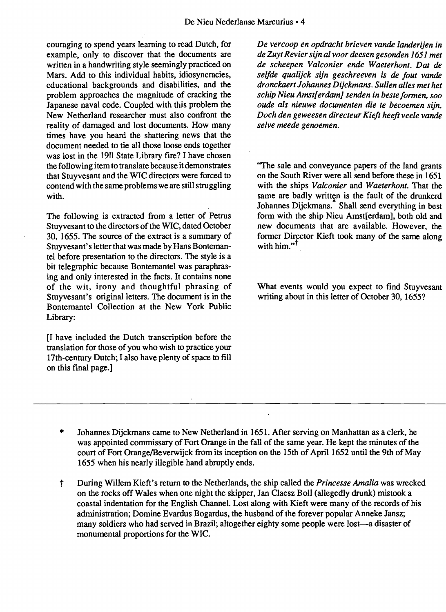couraging to spend years learning to read Dutch, for example, only to discover that the documents are written in a handwriting style seemingly practiced on Mars. Add to this individual habits, idiosyncracies, educational backgrounds and disabilities, and the problem approaches the magnitude of cracking the Japanese naval code. Coupled with this problem the New Netherland researcher must also confront the reality of damaged and lost documents. How many times have you heard the shattering news that the document needed to tie all those loose ends together was lost in the 1911 State Library fire? I have chosen the following item to translate because it demonstrates that Stuyvesant and the WIC directors were forced to contend with the same problems we are still struggling with.

The following is extracted from a letter of Petrus Stuyvesant to the directors of the WIC, dated October 30, 1655. The source of the extract is a summary of Stuyvesant's letter that was made by Hans Bontemantel before presentation to the directors. The style is a bit telegraphic because Bontemantel was paraphrasing and only interested in the facts. It contains none of the wit, irony and thoughtful phrasing of Stuyvesant's original letters. The document is in the Bontemantel Collection at the New York Public Library:

[I have included the Dutch transcription before the translation for those of you who wish to practice your 17th-century Dutch; I also have plenty of space to fill on this final page.]

*De vercoop en opdracht brieven vande landerijen in de Zuyt Revier sijn al voor deesen gesonden* 1651 *met de scheepen Valconier ende Waeterhont. Dat de selfde qualijck sifn geschreeven is de fout vande dronckaert Johannes Dijckmans. Sullen alles met het schip Nieu Amstjerdam] senden in beste formen, soo oude als nieuwe documenten die te becoemen sijn. Doch den geweesen directeur Kieft heeft veele vande selve meede genoemen.* 

"The sale and conveyance papers of the land grants on the South River were all send before these in 1651 with the ships *Yalconier* and *Waeterhont.* That the same are badly written is the fault of the drunkerd Johannes Dijckmans.<sup>\*</sup> Shall send everything in best form with the ship Nieu Amst[erdam], both old and new documents that are available. However, the former Director Kieft took many of the same along with him." $^{\dagger}$ 

What events would you expect to find Stuyvesant writing about in this letter of October 30, 1655?

\* Johannes Dijckmans came to New Netherland in 1651. After serving on Manhattan as a clerk, he was appointed commissary of Fort Orange in the fall of the same year. He kept the minutes of the court of Fort Orange/Beverwijck from its inception on the 15th of April 1652 until the 9th of May 1655 when his nearly illegible hand abruptly ends.

l.

t During Willem Kieft's return to the Netherlands, the ship called the *Princesse Amalia*was wrecked on the rocks off Wales when one night the skipper, Jan Claesz Boll (allegedly drunk) mistook a coastal indentation for the English Channel. Lost along with Kieft were many of the records of his administration; Domine Evardus Bogardus, the husband of the forever popular Anneke Jansz; many soldiers who had served in Brazil; altogether eighty some people were lost-a disaster of monumental proportions for the WIC.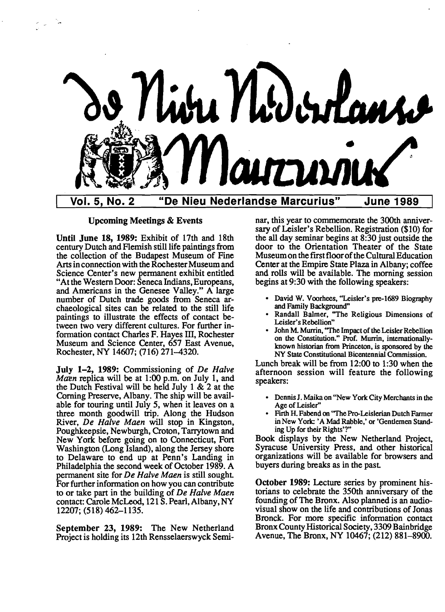

Upcoming Meetings & Events

Until June 18, 1989: Exhibit of 17th and 18th century Dutch and Flemish still life paintings from the collection of the Budapest Museum of Fine Arts in connection with the Rochester Museum and Science Center's new permanent exhibit entitled "At the Western Door: Seneca Indians, Europeans, and Americans in the Genesee Valley." A large number of Dutch trade goods from Seneca archaeological sites can be related to the still life paintings to illustrate the effects of contact between two very different cultures. For further information contact Charles F. Hayes III, Rochester Museum and Science Center, 657 East Avenue, Rochester, NY 14607; (716) 271-4320.

July 1-2, 1989: Commissioning of *De Halve Maen* replica will be at 1:00 p.m. on July 1, and the Dutch Festival will be held July 1 & 2 at the Corning Preserve, Albany. The ship will be available for touring until July 5, when it leaves on a three month goodwill trip. Along the Hudson River, *De Halve Maen* will stop in Kingston, Poughkeepsie, Newburgh, Croton, Tarrytown and New York before going on to Connecticut, Fort Washington (Long Island), along the Jersey shore to Delaware to end up at Penn's Landing in Philadelphia the second week of October 1989. A permanent site for *De Halve Maen* is still sought. For further information on how you can contribute to or take part in the building of *De Halve Maen*  contact: Carole McLeod, 121 S. Pearl, Albany, NY 12207; (518) 462-1135.

September 23, 1989: The New Netherland Project is holding its 12th Rensselaerswyck Seminar, this year to commemorate the 300th anniversary of Leisler's Rebellion. Registration (\$10) for the all day seminar begins at 8:30 just outside the door to the Orientation Theater of the State Museum on the first floor of the Cultural Education Center at the Empire State Plaza in Albany; coffee and rolls will be available. The morning session begins at 9:30 with the following speakers:

- • David W. Voorhees, "Leisler's pre-1689 Biography and Family Background"
- Randall Balmer, "The Religious Dimensions of Leisler's Rebellion"
- • John M. Murrin, "The Impact of theLeisler Rebellion on the Constitution." Prof. Murrin, intemationallyknown historian from Princeton, is sponsored by the NY State Constitutional Bicentennial Commission.

Lunch break will be from 12:00 to 1:30 when the afternoon session will feature the following speakers:

- • Dennis J. Maika on "New York City Merchants in the Age of Leisler"
- Firth H. Fabend on "The Pro-Leislerian Dutch Farmer in New York; 'A Mad Rabble,' or 'Gentlemen Standing Up for their Rights'?"

Book displays by the New Netherland Project, Syracuse University Press, and other historical organizations will be available for browsers and buyers during breaks as in the past

October 1989: Lecture series by prominent historians to celebrate the 350th anniversary of the founding of The Bronx. Also planned is an audiovisual show on the life and contributions of Jonas Bronck. For more specific information contact Bronx County Historical Society, 3309 Bainbridge Avenue, The Bronx, NY 10467; (212) 881-8900.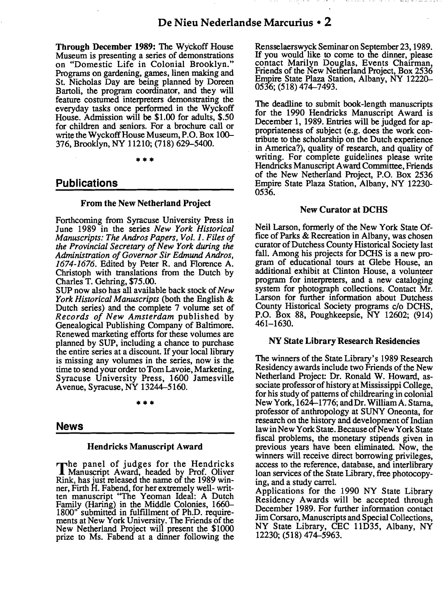Through December 1989: The Wyckoff House Museum is presenting a series of demonstrations on "Domestic Life in Colonial Brooklyn." Programs on gardening, games, linen making and St. Nicholas Day are being planned by Doreen Bartoli, the program coordinator, and they will feature costumed interpreters demonstrating the everyday tasks once performed in the Wyckoff House. Admission will be \$1.00 for adults, \$.50 for children and seniors. For a brochure call or write the Wyckoff House Museum, P.O. Box 100-376, Brooklyn, NY 11210; (718) 629-5400.

•••

### Publications

#### From the New Netherland Project

Forthcoming from Syracuse University Press in June 1989 in the series *New York Historical Manuscripts: The Andros Papers, Vol.* 1. *Files 0/ the Provincial Secretary ofNew York during the Administration 0/ Governor Sir Edmund Andros,*  1674-1676. Edited by Peter R. and Florence A. Christoph with translations from the Dutch by Charles T. Gehring, \$75.00.

SUP now also has all available back stock of*New York Historical Manuscripts* (both the English & Dutch series) and the complete 7 volume set of *Records 0/ New Amsterdam* published by Genealogical Publishing Company of Baltimore. Renewed marketing efforts for these volumes are planned by SUP, including a chance to purchase the entire series at a discount. If your local library is missing any volumes in the series, now is the time to send your order to Tom Lavoie, Marketing, Syracuse University Press, 1600 Jamesville Avenue, Syracuse, NY 13244-5160.

•••

### News

#### Hendricks Manuscript Award

The panel of judges for the Hendricks Manuscript Award, headed by Prof. Oliver Rink, has just released the name of the 1989 winner, Firth H. Fabend, for her extremely well- written manuscript "The Yeoman Ideal: A Dutch Family (Haring) in the Middle Colonies, 1660 1800" submitted in fulfillment of Ph.D. requirements at New York University. The Friends of the New Netherland Project will present the \$1000 prize to Ms. Fabend at a dinner following the

Rensselaerswyck Seminaron September 23,1989. If you would like to come to the dinner, please contact Marilyn Douglas, Events Chairman, Friends of the New Netherland Project, Box 2536 Empire State Plaza Station, Albany, NY 12220 0536; (518) 474-7493.

The deadline to submit book-length manuscripts for the 1990 Hendricks Manuscript Award is December I, 1989. Entries will be judged for appropriateness of subject (e.g. does the work contribute to the scholarship on the Dutch experience in America?), quality of research, and quality of writing. For complete guidelines please write Hendricks Manuscript Award Committee, Friends of the New Netherland Project, P.O. Box 2536 Empire State Plaza Station, Albany, NY 12230 0536.

#### New Curator at DCHS

Neil Larson, formerly of the New York State Office of Parks & Recreation in Albany, was chosen curator ofDutchess County Historical Society last fall. Among his projects for DCHS is a new program of educational tours at Glebe House, an additional exhibit at Clinton House, a volunteer program for interpreters, and a new cataloging system for photograph collections. Contact Mr. Larson for further information about Dutchess County Historical Society programs c/o DCHS, P.O. Box 88, Poughkeepsie, NY 12602; (914) 461-1630.

#### NY State Library Research Residencies

The winners of the State Library's 1989 Research Residency awards include two Friends of the New Netherland Project: Dr. Ronald W. Howard, associate professorof history at Mississippi College, for his study of patterns of childrearing in colonial New York, 1624-1776; and Dr. WilliamA. Starna, professor of anthropology at SUNY Oneonta, for research on the history and development of Indian law in New York State. Because of New York State fiscal problems, the monetary stipends given in previous years have been eliminated. Now, the winners will receive direct borrowing privileges, access to the reference, database, and interlibrary loan services of the State Library, free photocopying, and a study carrel.

Applications for the 1990 NY State Library Residency Awards will be accepted through December 1989. For further information contact Jim Corsaro, Manuscripts and Special Collections, NY State Library, CEC I1D35, Albany, NY 12230; (518) 474-5963.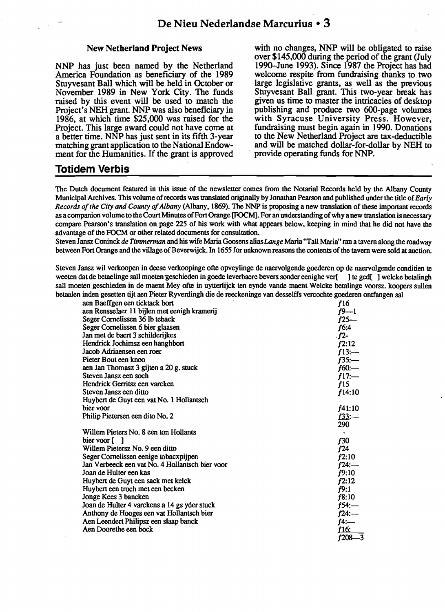#### New Netherland Project News

NNP has just been narned by the Netherland America Foundation as beneficiary of the 1989 Stuyvesant Ball which will be held in October or November 1989 in New York City. The funds raised by this event will be used to match the Project's NEH grant. NNP was also beneficiary in 1986, at which time \$25,000 was raised for the Project. This large award could not have come at a better time. NNP has just sent in its fifth 3-year matching grant application to the National Endowment for the Humanities. If the grant is approved

with no changes, NNP will be obligated to raise over \$145,000 during the period of the grant (July 1990-June 1993). Since 1987 the Project has had welcome respite from fundraising thanks to two large legislative grants, as well as the previous Stuyvesant Ball grant. This two-year break has given us time to master the intricacies of desktop publishing and produce two 6OO-page volumes with Syracuse University Press. However, fundraising must begin again in 1990. Donations to the New Netherland Project are tax-deductible and will be matched dollar-for-dollar by NEH to . provide operating funds for NNP.

# **Totidem Verbis**

The Dutch document featured in this issue of the newsletter comes from the Notarial Records held by the Albany County Municipal Archives. This volume ofrecords was translated originally by Jonathan Pearson and published under the title of*Early Records ofthe City and County ofAlbany* (Albany, 1869). The NNP is proposing a new translation of these important records as a companion volume to the Court Minutes of Fort Orange [FOCM]. For an understanding of why a new translation is necessary compare Pearson's translation on page 225 of his work with what appears below, keeping in mind that he did not have the advantage of the FOCM or other related documents for consultation.

StevenJansz Coninck *de Timmerman* and his wife Maria Goosens alias*Lange*Maria "Tall Maria" rana tavern along the roadway between Fort Orange and the village of Beverwijck. In 1655 for unknown reasons the contents of the tavern were sold at auction.

Steven Jansz wil verkoopen in deese verkoopinge ofte opveylinge de naervolgende goederen op de naervolgende conditien te weeten dat de betaelinge sall moeten geschieden in goede leverbaere bevers sonder eenighe ver[] te ged[] welcke betalingh sall moeten geschieden in de maent Mey ofte in uytterlijck ten eynde vande maent Welcke betalinge voorsz. koopers sullen betaalen inden gesetten tijt aen Pieter Ryverdingh die de reeckeninge van desselffs vercochte goederen ontfangen sal

| aen Baeffgen een ticktack bort                  | f16           |
|-------------------------------------------------|---------------|
| aen Rensselaer 11 bijlen met eenigh kramerij    | $f9 - 1$      |
| Seger Cornelissen 36 lb teback                  | $f25-$        |
| Seger Cornelissen 6 bier glaasen                | f6:4          |
| Jan met de baert 3 schilderijkes                | $-f2-$        |
| Hendrick Jochimsz een hanghbort                 | f2:12         |
| Jacob Adriaensen een roer                       | f13:          |
| Pieter Bout een knoo                            | f35:          |
| aen Jan Thomasz 3 gijten a 20 g. stuck          | $f60$ :—      |
| Steven Jansz een soch                           | $f17$ :-      |
| Hendrick Gerritsz een varcken                   | f15           |
| Steven Jansz een ditto                          | f14:10        |
| Huybert de Guyt een vat No. 1 Hollantsch        |               |
| bier voor                                       | f41:10        |
| Philip Pietersen een dito No. 2                 | <u>f33</u> :— |
|                                                 | 290           |
| Willem Pieters No. 8 een ton Hollants           |               |
| bier voor [ ]                                   | f30           |
| Willem Pietersz No. 9 een ditto                 | f24           |
| Seger Cornelissen eenige tobacxpijpen           | f2:10         |
| Jan Verbeeck een vat No. 4 Hollantsch bier voor | $f24$ :—      |
| Joan de Hulter een kas                          | f9:10         |
| Huybert de Guyt een sack met kelck              | f2:12         |
| Huybert een troch met een becken                | f9:1          |
| Jonge Kees 3 bancken                            | f8:10         |
| Joan de Hulter 4 varckens a 14 gs yder stuck    | $f54$ :—      |
| Anthony de Hooges een vat Hollantsch bier       | f24:          |
| Aen Leendert Philipsz een slaap banck           | $f4$ :—       |
| Aen Doorethe een bock                           | f16:          |
|                                                 | $f208 - 3$    |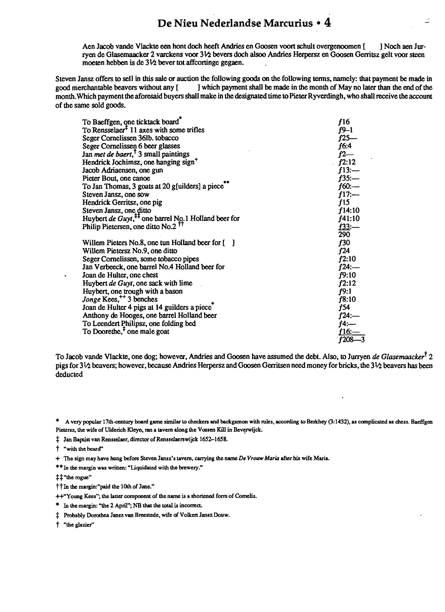Aen Jacob vande Vlackte een hont doch heeft Andries en Goosen voort schult overgenoomen [ ] Noch aen Jurryen de Glasemaacker 2 varckens voor 31⁄2 bevers doch alsoo Andries Herpersz en Goosen Gerritsz gelt voor steen moeten hebben is de  $3\frac{1}{2}$  bever tot affcortinge gegaen.

Steven Jansz offers to sell in this sale or auction the following goods on the following terms, namely: that payment be made in good merchantable beavers without any [ ] which payment shall be made in the month of May no l ] which payment shall be made in the month of May no later than the end of the month. Which payment the aforesaid buyers shall make in the designated time to Pieter Ryverdingh, who shall receive the account of the same sold goods.

| To Baeffgen, one ticktack board                                                 | f16           |
|---------------------------------------------------------------------------------|---------------|
| To Rensselaer <sup><math>\pm</math></sup> 11 axes with some trifles             | $f9-1$        |
| Seger Cornelissen 36lb. tobacco                                                 | f25—          |
| Seger Cornelissen 6 beer glasses                                                | f6:4          |
| Jan <i>met de baert</i> , <sup>†</sup> 3 small paintings                        | $f2-$         |
| Hendrick Jochimsz, one hanging sign <sup>+</sup>                                | f2:12         |
| Jacob Adriaensen, one gun                                                       | f13:          |
| Pieter Bout, one canoe                                                          | $f35:-$       |
| To Jan Thomas, 3 goats at 20 g[uilders] a piece                                 | $f60$ :-      |
| Steven Jansz, one sow                                                           | f17:          |
| Hendrick Gerritsz, one pig                                                      | f15           |
| Steven Jansz, one ditto                                                         | f14:10        |
| Huybert de Guyt, <sup><math>^{1}</math></sup> one barrel No. 1 Holland beer for | f41:10        |
| Philip Pietersen, one ditto No.2 <sup>TT</sup>                                  | <u>f33</u> :— |
|                                                                                 | 290           |
| Willem Pieters No.8, one tun Holland beer for [ ]                               | f30           |
| Willem Pietersz No.9, one ditto                                                 | f24           |
| Seger Cornelissen, some tobacco pipes                                           | f2:10         |
| Jan Verbeeck, one barrel No.4 Holland beer for                                  | f24:—         |
| Joan de Hulter, one chest                                                       | f9:10         |
| Huybert de Guyt, one sack with lime                                             | f2:12         |
| Huybert, one trough with a bason                                                | f9:1          |
| Jonge Kees, <sup>++</sup> 3 benches                                             | f8:10         |
| Joan de Hulter 4 pigs at 14 guilders a piece <sup>-</sup>                       | f54           |
| Anthony de Hooges, one barrel Holland beer                                      | $f24$ :—      |
| To Leendert Philipsz, one folding bed                                           | $f4$ :—       |
| To Doorethe, <sup>†</sup> one male goat                                         | f 16:-        |
|                                                                                 | $f208 - 3$    |

To Jacob vande Vlackte, one dog; however, Andries and Goosen have assumed thedebt. Also, to Jurryen de*Glasemaacker*t *2*  pigs for 31/2 beavers; however, because Andries Herpersz and Goosen Gerritsen need money for bricks, the 31/2 beavers has been deducted

\* A very popular 17th-century board game similar to checkers and backgamon with rules, according to Berkhey (3:1432), as complicated as chess. Baeffgen Pietersz, the wife of Ulderich Kleyn, ran a tavern along the Vossen Kill in Beverwijck.

 $\ddagger$  Jan Baptist van Rensselaer, director of Rensselaerswijck 1652-1658.

t "with the beard"

+ The sign may have hung before Steven Jansz's tavern, carrying the name *De VrouwMaria* after his wife Maria.

\*\*In the margin was written: "Liquidated with the brewery."

 $\ddagger\ddagger$ "the rogue"

 $\dagger\dagger$  In the margin:"paid the 10th of June."

++"Young Kees"; the latter component of the name is a shortened form of Cornelis.

\* In the margin: "the 2 April"; NB that the total is incorrect.

 $\ddagger$  Probably Dorothea Jansz van Breestede, wife of Volkert Jansz Douw.

t "the glazier"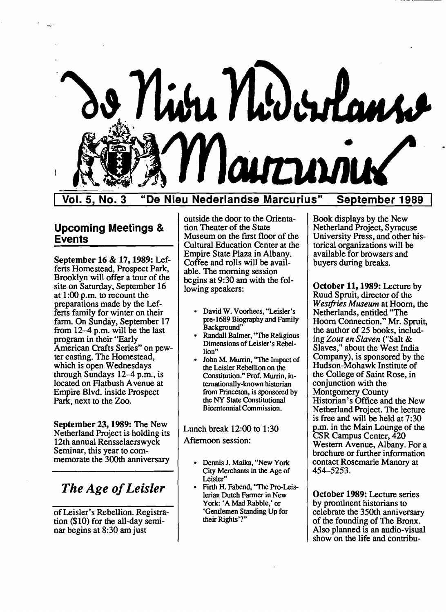

Vol. 5, No.3 "De Nieu Nederlandse Marcurius" September 1989

# Upcoming Meetings & Events

September 16 & 17, 1989: Lefferts Homestead, Prospect Park, Brooklyn will offer a tour of the site on Saturday, September 16 at 1:00 p.m. to recount the preparations made by the Lefferts family for winter on their farm. On Sunday, September 17 from 12-4 p.m. will be the last program in their "Early American Crafts Series" on pewter casting. The Homestead, which is open Wednesdays through Sundays 12-4 p.m., is located on Flatbush Avenue at Empire Blvd. inside Prospect Park, next to the Zoo.

September 23, 1989: The New Netherland Project is holding its 12th annual Rensselaerswyck Seminar, this year to commemorate the 300th anniversary

# *The Age ofLeisler*

of Leisler's Rebellion. Registration (\$10) for the all-day seminar begins at 8:30 am just

outside the door to the Orientation Theater of the State Museum on the first floor of the Cultural Education Center at the Empire State Plaza in Albany. Coffee and rolls will be available. The morning session begins at 9:30 am with the following speakers:

- • David W. Voorhees, "Leisler's pre-1689 Biography and Family Background"
- Randall Balmer, "The Religious Dimensions of Leisler's Rebellion"
- John M. Murrin, "The Impact of the Leisler Rebellion on the Constitution." Prof. Murrin, internationally-known historian from Princeton, is sponsored by the NY State Constitutional Bicentennial Commission.

Lunch break 12:00 to 1:30 Afternoon session:

- Dennis J. Maika, "New York City Merchants in the Age of Leisler"
- Firth H. Fabend, "The Pro-Leislerian Dutch Farmer in New York: 'A Mad Rabble,' or 'Gentlemen Standing Up for their Rights'?"

Book displays by the New Netherland Project, Syracuse University Press, and other historical organizations will be available for browsers and buyers during breaks.

October 11, 1989: Lecture by Ruud Spruit, director of the *Westfries Museum* at Hoorn, the Netherlands, entitled "The Hoorn Connection." Mr. Spruit, the author of 25 books, including *Zout en Slaven* ("Salt & Slaves," about the West India Company), is sponsored by the Hudson-Mohawk Institute of the College of Saint Rose, in conjunction with the Montgomery County Historian's Office and the New Netherland Project. The lecture is free and will be held at 7:30 p.m. in the Main Lounge of the CSR Campus Center, 420 Western Avenue, Albany. For a brochure or further information contact Rosemarie Manory at 454-5253.

October 1989: Lecture series by prominent historians to celebrate the 350th anniversary of the founding of The Bronx. Also planned is an audio-visual show on the life and contribu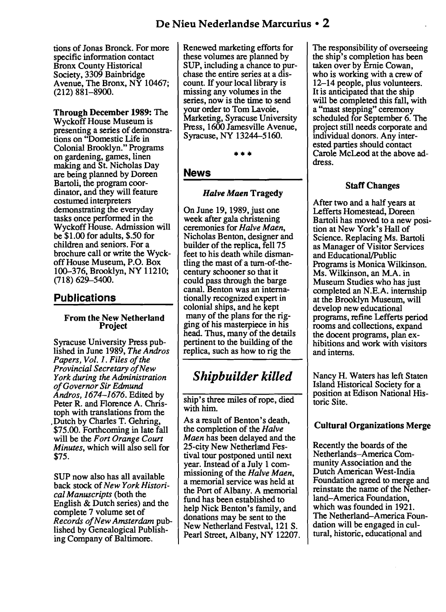tions of Jonas Bronck. For more specific information contact Bronx County Historical Society, 3309 Bainbridge Avenue, The Bronx, NY 10467; (212) 881-8900.

Through December 1989: The Wyckoff House Museum is presenting a series of demonstrations on "Domestic Life in Colonial Brooklyn." Programs on gardening, games, linen making and St. Nicholas Day are being planned by Doreen Bartoli, the program coordinator, and they will feature costumed interpreters demonstrating the everyday tasks once performed in the Wyckoff House. Admission will be \$1.00 for adults, \$.50 for children and seniors. For a brochure call or write the Wyckoff House Museum, P.O. Box 100-376, Brooklyn, NY 11210; (718) 629-5400.

# Publications

#### From the New Netherland Project

Syracuse University Press published in June 1989, *The Andros Papers, Vol. 1. Files of the Provincial Secretary ofNew York during the Administration ofGovernor Sir Edmund Andros,* 1674-1676. Edited by Peter R. and Florence A. Christoph with translations from the .Dutch by Charles T. Gehring, \$75.00. Forthcoming in late fall will be the *Fort Orange Court Minutes,* which will also sell for \$75.

SUP now also has all available back stock of*New York Historical Manuscripts* (both the English & Dutch series) and the complete 7 volume set of *Records ofNew Amsterdam* published by Genealogical Publishing Company of Baltimore.

Renewed marketing efforts for these volumes are planned by SUP, including a chance to purchase the entire series at a discount. If your local library is missing any volumes in the series, now is the time to send your order to Tom Lavoie, Marketing, Syracuse University Press, 1600 Jamesville Avenue, Syracuse, NY 13244-5160.

•••

## News

## *Halve Maen* Tragedy

On June 19, 1989, just one week after gala christening ceremonies for *Halve Maen,*  Nicholas Benton, designer and builder of the replica, fell 75 feet to his death while dismantling the mast of a turn-of-thecentury schooner so that it could pass through the barge canal. Benton was an internationally recognized expert in colonial ships, and he kept many of the plans for the rigging of his masterpiece in his head. Thus, many of the details pertinent to the building of the replica, such as how to rig the

# *Shipbuilder killed*

ship's three miles of rope, died with him.

As a result of Benton's death, the completion of the *Halve Maen* has been delayed and the 25-city New Netherland Festival tour postponed until next year. Instead of a July 1 commissioning of the *Halve Maen,*  a memorial service was held at the Port of Albany. A memorial fund has been established to help Nick Benton's family, and donations may be sent to the New Netherland Festval, 121 S. Pearl Street, Albany, NY 12207. The responsibility of overseeing the ship's completion has been taken over by Ernie Cowan, who is working with a crew of 12-14 people, plus volunteers. It is anticipated that the ship will be completed this fall, with a "mast stepping" ceremony scheduled for September 6. The project still needs corporate and individual donors. Any interested parties should contact Carole McLeod at the above address.

# Staff Changes

After two and a half years at Lefferts Homestead, Doreen . Bartoli has moved to a new position at New York's Hall of Science. Replacing Ms. Bartoli as Manager of Visitor Services and Educational/Public Programs is Monica Wilkinson. Ms. Wilkinson, an M.A. in Museum Studies who has just completed an N.E.A. internship at the Brooklyn Museum, will develop new educational programs, refine Lefferts period rooms and collections, expand the docent programs, plan exhibitions and work with visitors and interns.

Nancy H. Waters has left Staten Island Historical Society for a position at Edison National Historic Site.

# Cultural Organizations Merge

Recently the boards of the Netherlands-America Community Association and the Dutch American West-India Foundation agreed to merge and reinstate the name of the Netherland-America Foundation, which was founded in 1921. The Netherland-America Foundation will be engaged in cultural, historic, educational and